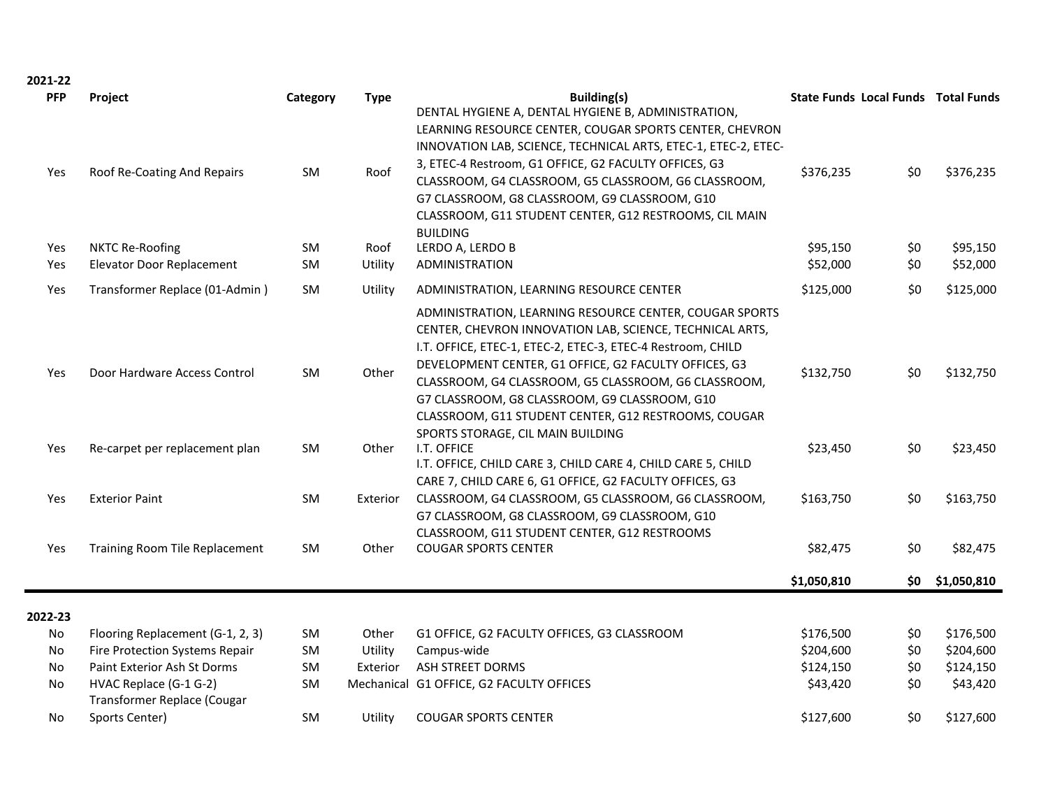2021-22

| <b>PFP</b><br>Yes | Project<br>Roof Re-Coating And Repairs                | Category<br>SM | <b>Type</b><br>Roof | <b>Building(s)</b><br>DENTAL HYGIENE A, DENTAL HYGIENE B, ADMINISTRATION,<br>LEARNING RESOURCE CENTER, COUGAR SPORTS CENTER, CHEVRON<br>INNOVATION LAB, SCIENCE, TECHNICAL ARTS, ETEC-1, ETEC-2, ETEC-<br>3, ETEC-4 Restroom, G1 OFFICE, G2 FACULTY OFFICES, G3<br>CLASSROOM, G4 CLASSROOM, G5 CLASSROOM, G6 CLASSROOM,<br>G7 CLASSROOM, G8 CLASSROOM, G9 CLASSROOM, G10<br>CLASSROOM, G11 STUDENT CENTER, G12 RESTROOMS, CIL MAIN                | \$376,235            | <b>State Funds Local Funds Total Funds</b><br>\$0 | \$376,235            |
|-------------------|-------------------------------------------------------|----------------|---------------------|---------------------------------------------------------------------------------------------------------------------------------------------------------------------------------------------------------------------------------------------------------------------------------------------------------------------------------------------------------------------------------------------------------------------------------------------------|----------------------|---------------------------------------------------|----------------------|
| Yes<br>Yes        | <b>NKTC Re-Roofing</b><br>Elevator Door Replacement   | SM<br>SM       | Roof<br>Utility     | <b>BUILDING</b><br>LERDO A, LERDO B<br><b>ADMINISTRATION</b>                                                                                                                                                                                                                                                                                                                                                                                      | \$95,150<br>\$52,000 | \$0<br>\$0                                        | \$95,150<br>\$52,000 |
| Yes               | Transformer Replace (01-Admin)                        | SM             | Utility             | ADMINISTRATION, LEARNING RESOURCE CENTER                                                                                                                                                                                                                                                                                                                                                                                                          | \$125,000            | \$0                                               | \$125,000            |
| Yes               | Door Hardware Access Control                          | SM             | Other               | ADMINISTRATION, LEARNING RESOURCE CENTER, COUGAR SPORTS<br>CENTER, CHEVRON INNOVATION LAB, SCIENCE, TECHNICAL ARTS,<br>I.T. OFFICE, ETEC-1, ETEC-2, ETEC-3, ETEC-4 Restroom, CHILD<br>DEVELOPMENT CENTER, G1 OFFICE, G2 FACULTY OFFICES, G3<br>CLASSROOM, G4 CLASSROOM, G5 CLASSROOM, G6 CLASSROOM,<br>G7 CLASSROOM, G8 CLASSROOM, G9 CLASSROOM, G10<br>CLASSROOM, G11 STUDENT CENTER, G12 RESTROOMS, COUGAR<br>SPORTS STORAGE, CIL MAIN BUILDING | \$132,750            | \$0                                               | \$132,750            |
| Yes               | Re-carpet per replacement plan                        | <b>SM</b>      | Other               | I.T. OFFICE<br>I.T. OFFICE, CHILD CARE 3, CHILD CARE 4, CHILD CARE 5, CHILD<br>CARE 7, CHILD CARE 6, G1 OFFICE, G2 FACULTY OFFICES, G3                                                                                                                                                                                                                                                                                                            | \$23,450             | \$0                                               | \$23,450             |
| Yes               | <b>Exterior Paint</b>                                 | <b>SM</b>      | Exterior            | CLASSROOM, G4 CLASSROOM, G5 CLASSROOM, G6 CLASSROOM,<br>G7 CLASSROOM, G8 CLASSROOM, G9 CLASSROOM, G10<br>CLASSROOM, G11 STUDENT CENTER, G12 RESTROOMS                                                                                                                                                                                                                                                                                             | \$163,750            | \$0                                               | \$163,750            |
| Yes               | <b>Training Room Tile Replacement</b>                 | SM             | Other               | <b>COUGAR SPORTS CENTER</b>                                                                                                                                                                                                                                                                                                                                                                                                                       | \$82,475             | \$0                                               | \$82,475             |
|                   |                                                       |                |                     |                                                                                                                                                                                                                                                                                                                                                                                                                                                   | \$1,050,810          | \$0 I                                             | \$1,050,810          |
| 2022-23           |                                                       |                |                     |                                                                                                                                                                                                                                                                                                                                                                                                                                                   |                      |                                                   |                      |
| No                | Flooring Replacement (G-1, 2, 3)                      | <b>SM</b>      | Other               | G1 OFFICE, G2 FACULTY OFFICES, G3 CLASSROOM                                                                                                                                                                                                                                                                                                                                                                                                       | \$176,500            | \$0                                               | \$176,500            |
| No                | Fire Protection Systems Repair                        | <b>SM</b>      | Utility             | Campus-wide                                                                                                                                                                                                                                                                                                                                                                                                                                       | \$204,600            | \$0                                               | \$204,600            |
| No                | Paint Exterior Ash St Dorms                           | <b>SM</b>      | Exterior            | ASH STREET DORMS                                                                                                                                                                                                                                                                                                                                                                                                                                  | \$124,150            | \$0                                               | \$124,150            |
| No                | HVAC Replace (G-1 G-2)<br>Transformer Replace (Cougar | <b>SM</b>      |                     | Mechanical G1 OFFICE, G2 FACULTY OFFICES                                                                                                                                                                                                                                                                                                                                                                                                          | \$43,420             | \$0                                               | \$43,420             |
| No                | Sports Center)                                        | <b>SM</b>      | Utility             | <b>COUGAR SPORTS CENTER</b>                                                                                                                                                                                                                                                                                                                                                                                                                       | \$127,600            | \$0                                               | \$127,600            |